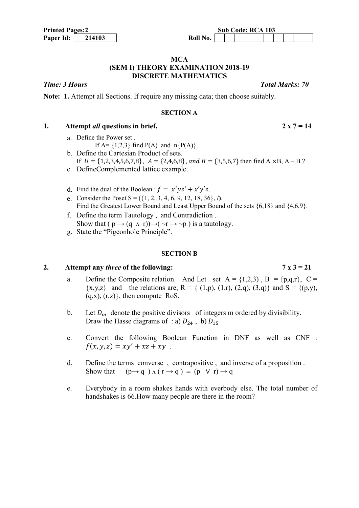#### **MCA** (SEM I) THEORY EXAMINATION 2018-19 DISCRETE MATHEMATICS

**Time: 3 Hours** Total Marks: 70

Note: 1. Attempt all Sections. If require any missing data; then choose suitably.

#### SECTION A

### 1. Attempt *all* questions in brief.  $2 \times 7 = 14$

- a. Define the Power set .
	- If  $A = \{1,2,3\}$  find  $P(A)$  and  $n\{P(A)\}\$ .
- b. Define the Cartesian Product of sets. If  $U = \{1,2,3,4,5,6,7,8\}$ ,  $A = \{2,4,6,8\}$ , and  $B = \{3,5,6,7\}$  then find A  $\times$ B, A – B ?
- c. DefineComplemented lattice example.
- d. Find the dual of the Boolean :  $f = x'yz' + x'y'z$ .
- e. Consider the Poset S =  $({1, 2, 3, 4, 6, 9, 12, 18, 36}, ...)$ . Find the Greatest Lower Bound and Least Upper Bound of the sets  $\{6,18\}$  and  $\{4,6,9\}$ .
- f. Define the term Tautology , and Contradiction . Show that ( $p \rightarrow (q \land r)$ ) $\rightarrow (\sim r \rightarrow \sim p)$  is a tautology.
- g. State the "Pigeonhole Principle".

#### SECTION B

### 2. Attempt any *three* of the following:  $7 \times 3 = 21$

- a. Define the Composite relation. And Let set  $A = \{1,2,3\}$ ,  $B = \{p,q,r\}$ ,  $C =$  $\{x,y,z\}$  and the relations are, R = { (1,p), (1,r), (2,q), (3,q)} and S = {(p,y),  $(q,x)$ ,  $(r,z)$ }, then compute RoS.
- b. Let  $D_m$  denote the positive divisors of integers m ordered by divisibility. Draw the Hasse diagrams of : a)  $D_{24}$ , b)  $D_{15}$
- c. Convert the following Boolean Function in DNF as well as CNF :  $f(x, y, z) = xy' + xz + xy$ .
- d. Define the terms converse , contrapositive , and inverse of a proposition . Show that  $(p \rightarrow q) \land (r \rightarrow q) \equiv (p \lor r) \rightarrow q$
- e. Everybody in a room shakes hands with everbody else. The total number of handshakes is 66.How many people are there in the room?